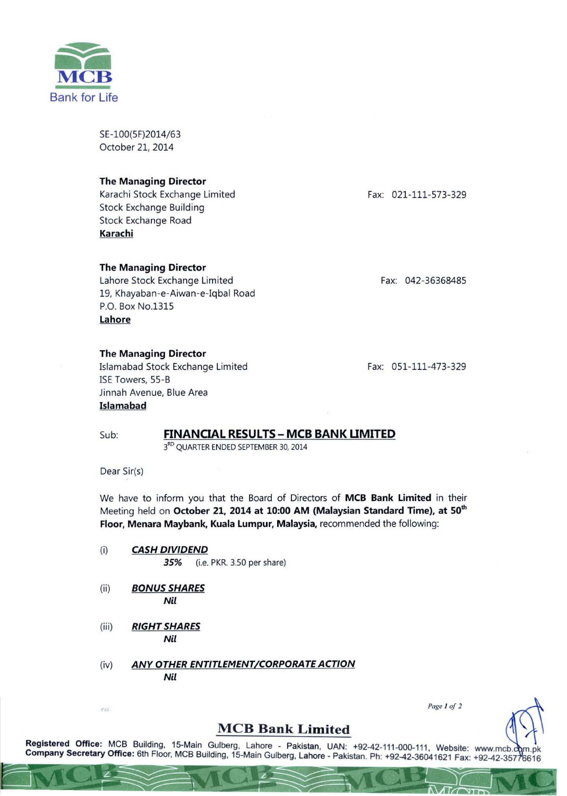

SE-100(5F)2014/63 October 21, 2014

#### The Managing Director

Karachi Stock Exchange Limited Stock Exchange Building Stock Exchange Road Karachi

#### The Managing Director

Lahore Stock Exchange Limited 19, Khayaban-e-Aiwan-e-Iqbal Road P.O. Box NO.1315 Lahore

#### The Managing Director

Islamabad Stock Exchange Limited ISE Towers, 55-B Jinnah Avenue, Blue Area Islamabad

Fax: 021-111-573-329

Fax: 042-36368485

Fax: 051-111-473-329

## Sub: FINANCIAL RESULTS - MCB BANK LIMITED

3RD QUARTER ENDED SEPTEMBER 30, 2014

Dear Sir(s)

We have to inform you that the Board of Directors of MCB Bank Limited in their Meeting held on October 21, 2014 at 10:00 AM (Malaysian Standard Time), at 50<sup>th</sup> Floor, Menara Maybank, Kuala Lumpur, Malaysia, recommended the following:

- (i) *CASH DIVIDEND*  35% (i.e. PKR. 3.50 per share)
- (ii) *BONUS SHARES*  Nil
- (iii) *RIGHT SHARES*  Nil
- (iv) *ANY OTHER ENTITLEMENT/CORPORATE ACTION*  Nil

Fage 1 of 2

## **MCB Bank Limited**

Registered Office: MCB Building, 15-Main Gulberg, Lahore - Pakistan, UAN: +92-42-111-000-111, Website: www.mcb.c Company Secretary Office: 6th Floor, MCB Building, 15-Main Gulberg, Lahore - Pakistan. Ph: +92-42-36041621 Fax: +92-42-35776616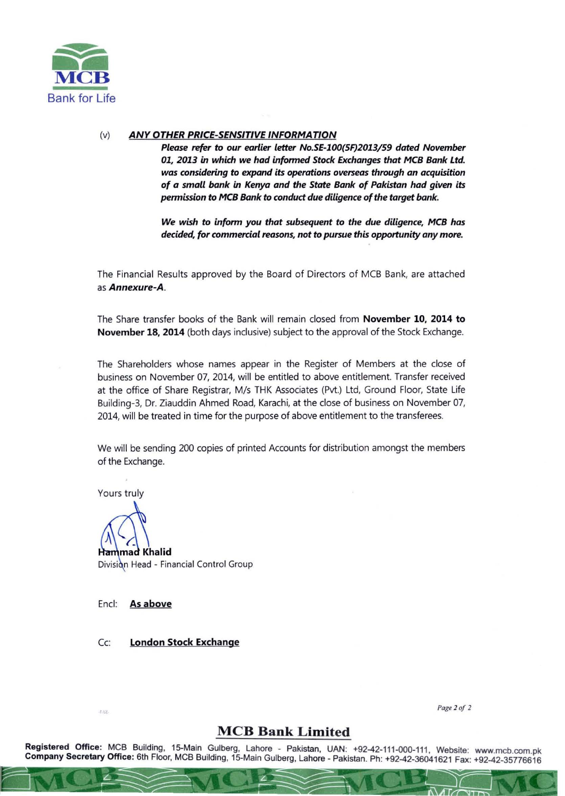

### (v) ANY OTHER PRICE-SENSITIVE INFORMATION

*Please refer* to *our earlier letter No.SE-100(5F)2013/59 dated November 01, 2013* in *which we hod infonned 5tock Exchonges that MeB Bank Ltd. was considering* to *expand its operations overseas through* an *acquisition of* a *small bank* in *Kenya and the State Bank of Pakistan had given its pennission* to *MeB Bank* to *conduct due diligence of the target bank.* 

*We wish* to *infonn you that subsequent* to *the due diligence, MeB has decided, for commercial reasons, not* to *pursue this oppartunity any more.* 

The Financial Results approved by the Board of Directors of MCB Bank, are attached as *Annexure-A.* 

The Share transfer books of the Bank will remain closed from November 10, 2014 to November 18, 2014 (both days inclusive) subject to the approval of the Stock Exchange.

The Shareholders whose names appear in the Register of Members at the close of business on November 07, 2014, will be entitled to above entitlement. Transfer received at the office of Share Registrar, M/s THK Associates (Pvt.) Ltd, Ground Floor, State Life Building-3, Dr. Ziauddin Ahmed Road, Karachi, at the close of business on November 07, 2014, will be treated in time for the purpose of above entitlement to the transferees.

We will be sending 200 copies of printed Accounts for distribution amongst the members of the Exchange.

Yours truly

**Hammad Khalid** Division Head - Financial Control Group

Encl: As above

Cc: London Stock Exchange

4.42

*Page 2 0f 2* 

# **MCB Bank Limited**

Registered Office: MCB Building, 15-Main Gulberg, Lahore - Pakistan, UAN: +92-42-111-000-111, Website: www.mcb.com.pk Company Secretary Office: 6th Floor, MCB Building, 15-Main Gulberg, Lahore - Pakistan. Ph: +92-42-36041621 Fax: +92-42-35776616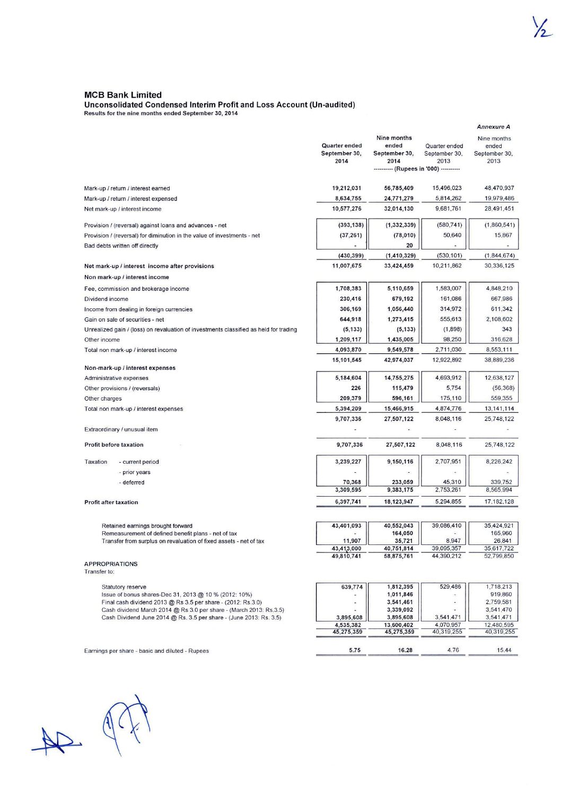#### MCB Bank Limited

#### Unconsolidated Condensed Interim Profit and Loss Account (Un-audited)

Results for the nine months ended September 30, 201 4

|                                                                         |                                                                                                                                          |                                        |                                                                                         |                                        | <b>Annexure A</b>                             |
|-------------------------------------------------------------------------|------------------------------------------------------------------------------------------------------------------------------------------|----------------------------------------|-----------------------------------------------------------------------------------------|----------------------------------------|-----------------------------------------------|
|                                                                         |                                                                                                                                          | Quarter ended<br>September 30,<br>2014 | Nine months<br>ended<br>September 30,<br>2014<br>---------- (Rupees in '000) ---------- | Quarter ended<br>September 30,<br>2013 | Nine months<br>ended<br>September 30,<br>2013 |
|                                                                         | Mark-up / return / interest earned                                                                                                       | 19,212,031                             | 56,785,409                                                                              | 15,496,023                             | 48,470,937                                    |
|                                                                         | Mark-up / return / interest expensed                                                                                                     | 8,634,755                              | 24,771,279                                                                              | 5,814,262                              | 19,979,486                                    |
| Net mark-up / interest income                                           |                                                                                                                                          | 10,577,276                             | 32,014,130                                                                              | 9,681,761                              | 28,491,451                                    |
|                                                                         | Provision / (reversal) against loans and advances - net                                                                                  | (393, 138)                             | (1, 332, 339)                                                                           | (580, 741)                             | (1,860,541)                                   |
| Provision / (reversal) for diminution in the value of investments - net |                                                                                                                                          | (37, 261)                              | (78,010)                                                                                | 50,640                                 | 15,867                                        |
| Bad debts written off directly                                          |                                                                                                                                          |                                        | 20                                                                                      |                                        |                                               |
|                                                                         |                                                                                                                                          | (430, 399)                             | (1, 410, 329)                                                                           | (530, 101)                             | (1,844,674)                                   |
|                                                                         | Net mark-up / interest income after provisions<br>Non mark-up / interest income                                                          | 11,007,675                             | 33,424,459                                                                              | 10,211,862                             | 30,336,125                                    |
|                                                                         | Fee, commission and brokerage income                                                                                                     | 1,708,383                              | 5,110,659                                                                               | 1,583,007                              | 4,848,210                                     |
| Dividend income                                                         |                                                                                                                                          | 230,416                                | 679,192                                                                                 | 161,086                                | 667,986                                       |
|                                                                         |                                                                                                                                          | 306,169                                | 1,056,440                                                                               | 314,972                                | 611,342                                       |
|                                                                         | Income from dealing in foreign currencies<br>Gain on sale of securities - net                                                            | 644,918                                |                                                                                         | 555,613                                | 2,108,602                                     |
|                                                                         | Unrealized gain / (loss) on revaluation of investments classified as held for trading                                                    | (5, 133)                               | 1,273,415<br>(5, 133)                                                                   | (1,898)                                | 343                                           |
|                                                                         |                                                                                                                                          | 1,209,117                              | 1,435,005                                                                               | 98,250                                 | 316,628                                       |
| Other income                                                            |                                                                                                                                          |                                        |                                                                                         | 2,711,030                              |                                               |
|                                                                         | Total non mark-up / interest income                                                                                                      | 4,093,870                              | 9,549,578                                                                               |                                        | 8,553,111                                     |
|                                                                         | Non-mark-up / interest expenses                                                                                                          | 15,101,545                             | 42,974,037                                                                              | 12,922,892                             | 38,889,236                                    |
|                                                                         | Administrative expenses                                                                                                                  | 5,184,604                              | 14,755,275                                                                              | 4,693,912                              | 12,638,127                                    |
|                                                                         | Other provisions / (reversals)                                                                                                           | 226                                    | 115,479                                                                                 | 5,754                                  | (56, 368)                                     |
| Other charges                                                           |                                                                                                                                          | 209,379                                | 596,161                                                                                 | 175,110                                | 559,355                                       |
|                                                                         | Total non mark-up / interest expenses                                                                                                    | 5,394,209                              | 15,466,915                                                                              | 4,874,776                              | 13, 141, 114                                  |
|                                                                         |                                                                                                                                          | 9,707,336                              | 27,507,122                                                                              | 8,048,116                              | 25,748,122                                    |
| Extraordinary / unusual item                                            |                                                                                                                                          |                                        |                                                                                         | ٠                                      |                                               |
| Profit before taxation                                                  |                                                                                                                                          | 9,707,336                              | 27,507,122                                                                              | 8,048,116                              | 25,748,122                                    |
| Taxation                                                                | - current period                                                                                                                         | 3,239,227                              | 9,150,116                                                                               | 2,707,951                              | 8,226,242                                     |
|                                                                         | - prior years                                                                                                                            |                                        |                                                                                         |                                        |                                               |
|                                                                         | - deferred                                                                                                                               | 70,368                                 | 233,059                                                                                 | 45,310                                 | 339,752                                       |
|                                                                         |                                                                                                                                          | 3,309,595                              | 9,383,175                                                                               | 2,753,261                              | 8,565,994                                     |
| Profit after taxation                                                   |                                                                                                                                          | 6,397,741                              | 18,123,947                                                                              | 5,294,855                              | 17, 182, 128                                  |
|                                                                         |                                                                                                                                          |                                        |                                                                                         |                                        |                                               |
|                                                                         | Retained earnings brought forward                                                                                                        | 43,401,093                             | 40,552,043                                                                              | 39,086,410                             | 35,424,921                                    |
|                                                                         | Remeasurement of defined benefit plans - net of tax                                                                                      |                                        | 164,050                                                                                 |                                        | 165,960                                       |
|                                                                         | Transfer from surplus on revaluation of fixed assets - net of tax                                                                        | 11,907<br>43,413,000                   | 35,721<br>40,751,814                                                                    | 8,947<br>39,095,357                    | 26,841<br>35,617,722                          |
|                                                                         |                                                                                                                                          | 49,810,741                             | 58,875,761                                                                              | 44,390,212                             | 52,799,850                                    |
| <b>APPROPRIATIONS</b><br>Transfer to:                                   |                                                                                                                                          |                                        |                                                                                         |                                        |                                               |
|                                                                         | Statutory reserve                                                                                                                        | 639,774                                | 1,812,395                                                                               | 529,486                                | 1,718,213                                     |
|                                                                         | Issue of bonus shares-Dec 31, 2013 @ 10 % (2012: 10%)                                                                                    |                                        | 1,011,846                                                                               |                                        | 919,860                                       |
|                                                                         | Final cash dividend 2013 @ Rs 3.5 per share - (2012: Rs.3.0)                                                                             |                                        | 3,541,461                                                                               |                                        | 2,759,581                                     |
|                                                                         | Cash dividend March 2014 @ Rs 3.0 per share - (March 2013: Rs.3.5)<br>Cash Dividend June 2014 @ Rs. 3.5 per share - (June 2013: Rs. 3.5) | 3,895,608                              | 3,339,092<br>3,895,608                                                                  | 3,541,471                              | 3,541,470<br>3,541,471                        |
|                                                                         |                                                                                                                                          | 4,535,382                              | 13,600,402                                                                              | 4,070,957                              | 12,480,595                                    |
|                                                                         |                                                                                                                                          | 45,275,359                             | 45,275,359                                                                              | 40,319,255                             | 40,319,255                                    |
|                                                                         | Earnings per share - basic and diluted - Rupees                                                                                          | 5.75                                   | 16.28                                                                                   | 4.76                                   | 15.44                                         |
|                                                                         |                                                                                                                                          |                                        |                                                                                         |                                        |                                               |

 $\frac{1}{2}$ 

 $R_{\rm H}$